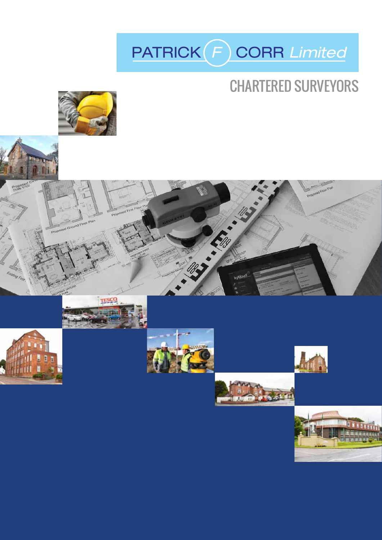

## CHARTERED SURVEYORS



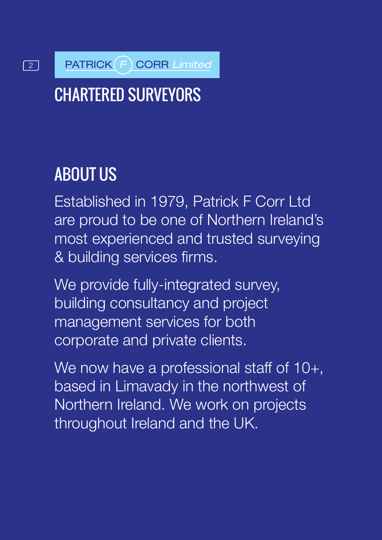## **2 PATRICK F CORR Limited**

# CHARTERED SURVEYORS

# ABOUT US

Established in 1979, Patrick F Corr Ltd are proud to be one of Northern Ireland's most experienced and trusted surveying & building services firms.

We provide fully-integrated survey, building consultancy and project management services for both corporate and private clients.

We now have a professional staff of 10+, based in Limavady in the northwest of Northern Ireland. We work on projects throughout Ireland and the UK.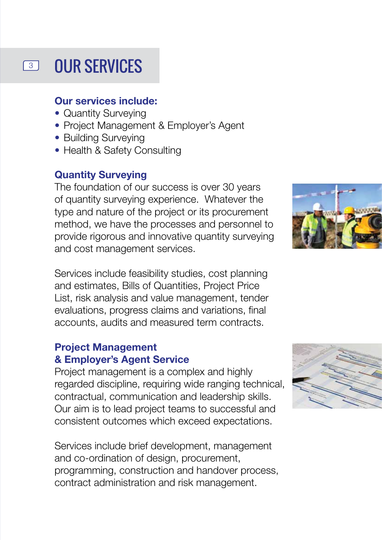#### OUR SERVICES  $\sqrt{3}$

#### **Our services include:**

- Quantity Surveying
- Project Management & Employer's Agent
- Building Surveying
- Health & Safety Consulting

#### **Quantity Surveying**

The foundation of our success is over 30 years of quantity surveying experience. Whatever the type and nature of the project or its procurement method, we have the processes and personnel to provide rigorous and innovative quantity surveying and cost management services.

Services include feasibility studies, cost planning and estimates, Bills of Quantities, Project Price List, risk analysis and value management, tender evaluations, progress claims and variations, final accounts, audits and measured term contracts.

#### **Project Management & Employer's Agent Service**

Project management is a complex and highly regarded discipline, requiring wide ranging technical, contractual, communication and leadership skills. Our aim is to lead project teams to successful and consistent outcomes which exceed expectations.

Services include brief development, management and co-ordination of design, procurement, programming, construction and handover process, contract administration and risk management.



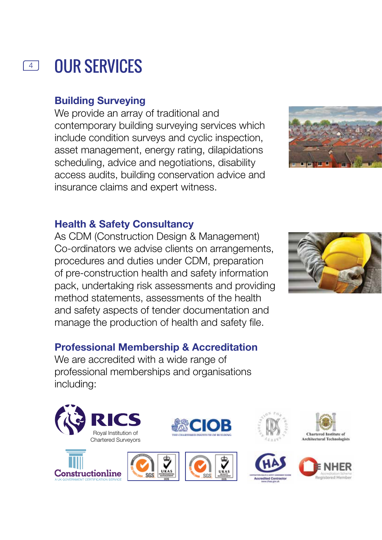#### OUR SERVICES 4

#### **Building Surveying**

We provide an array of traditional and contemporary building surveying services which include condition surveys and cyclic inspection, asset management, energy rating, dilapidations scheduling, advice and negotiations, disability access audits, building conservation advice and insurance claims and expert witness.



### **Health & Safety Consultancy**

As CDM (Construction Design & Management) Co-ordinators we advise clients on arrangements, procedures and duties under CDM, preparation of pre-construction health and safety information pack, undertaking risk assessments and providing method statements, assessments of the health and safety aspects of tender documentation and manage the production of health and safety file.

#### **Professional Membership & Accreditation**

We are accredited with a wide range of professional memberships and organisations including:









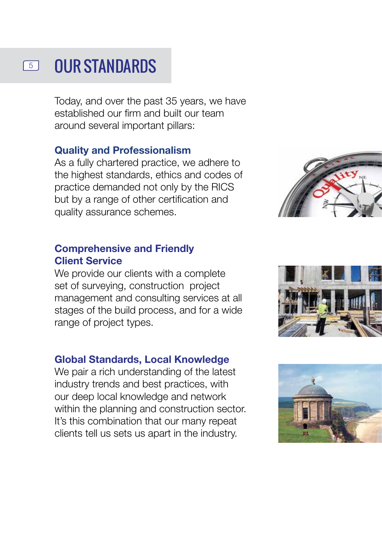#### OUR STANDARDS  $\boxed{5}$

Today, and over the past 35 years, we have established our firm and built our team around several important pillars:

#### **Quality and Professionalism**

As a fully chartered practice, we adhere to the highest standards, ethics and codes of practice demanded not only by the RICS but by a range of other certification and quality assurance schemes.

#### **Comprehensive and Friendly Client Service**

We provide our clients with a complete set of surveying, construction project management and consulting services at all stages of the build process, and for a wide range of project types.

#### **Global Standards, Local Knowledge**

We pair a rich understanding of the latest industry trends and best practices, with our deep local knowledge and network within the planning and construction sector. It's this combination that our many repeat clients tell us sets us apart in the industry.





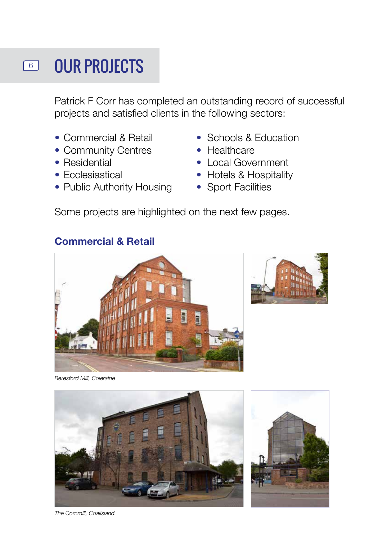# **6 OUR PROJECTS**

Patrick F Corr has completed an outstanding record of successful projects and satisfied clients in the following sectors:

- 
- Community Centres Healthcare
- 
- 
- Public Authority Housing Sport Facilities
- Commercial & Retail Schools & Education
	-
- Residential Local Government
- Ecclesiastical Hotels & Hospitality
	-

Some projects are highlighted on the next few pages.

#### **Commercial & Retail**





*Beresford Mill, Coleraine*





*The Cornmill, Coalisland.*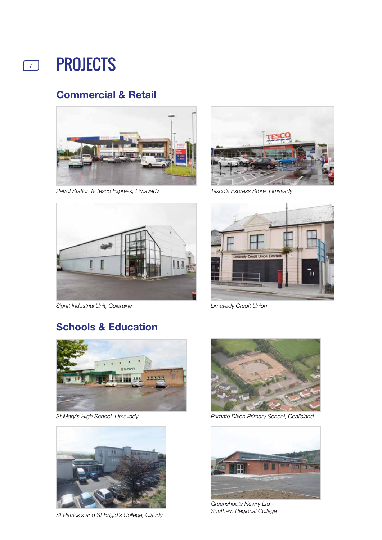

#### **Commercial & Retail**



*Petrol Station & Tesco Express, Limavady Tesco's Express Store, Limavady*



*SignIt Industrial Unit, Coleraine Limavady Credit Union*





### **Schools & Education**





*St Patrick's and St Brigid's College, Claudy*



*St Mary's High School, Limavady Primate Dixon Primary School, Coalisland*



*Greenshoots Newry Ltd - Southern Regional College*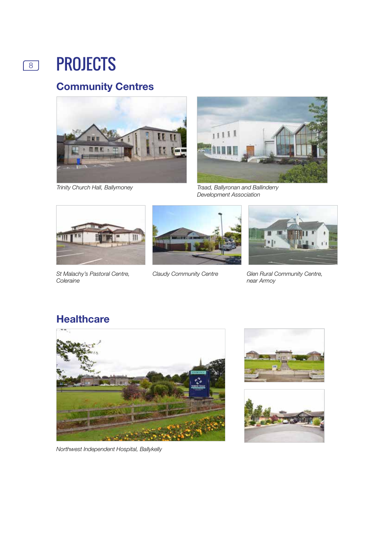

### **Community Centres**



*Trinity Church Hall, Ballymoney*



*Traad, Ballyronan and Ballinderry Development Association*



*St Malachy's Pastoral Centre, Coleraine*



*Claudy Community Centre*



*Glen Rural Community Centre, near Armoy*

### **Healthcare**



*Northwest Independent Hospital, Ballykelly*



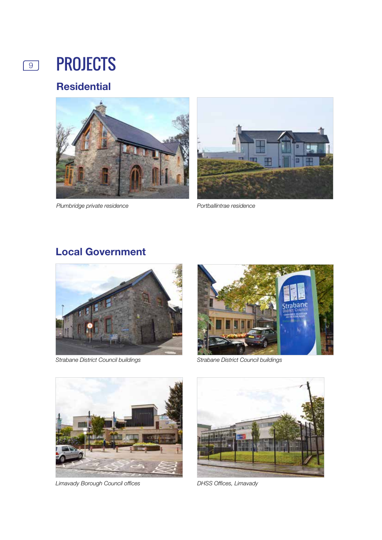# **9 PROJECTS**

### **Residential**



*Plumbridge private residence Portballintrae residence*



### **Local Government**



*Strabane District Council buildings Strabane District Council buildings*





*Limavady Borough Council offices*



*DHSS Offices, Limavady*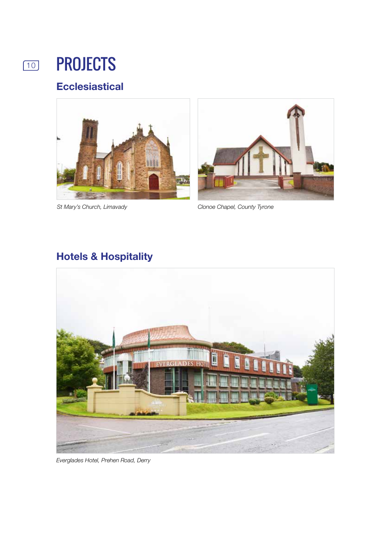

## 10 **PROJECTS**

### **Ecclesiastical**





*St Mary's Church, Limavady Clonoe Chapel, County Tyrone*

### **Hotels & Hospitality**



*Everglades Hotel, Prehen Road, Derry*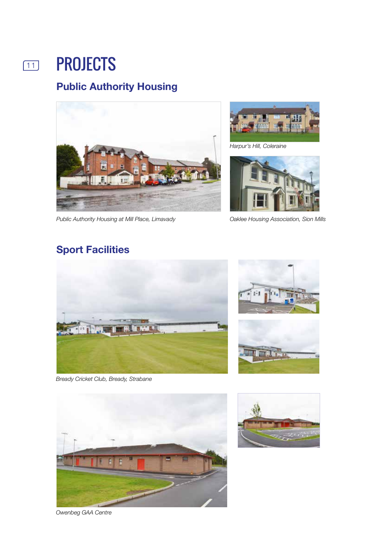# **111 PROJECTS**

### **Public Authority Housing**



*Public Authority Housing at Mill Place, Limavady* 



*Harpur's Hill, Coleraine*



*Oaklee Housing Association, Sion Mills*

### **Sport Facilities**



*Bready Cricket Club, Bready, Strabane*





*Owenbeg GAA Centre*